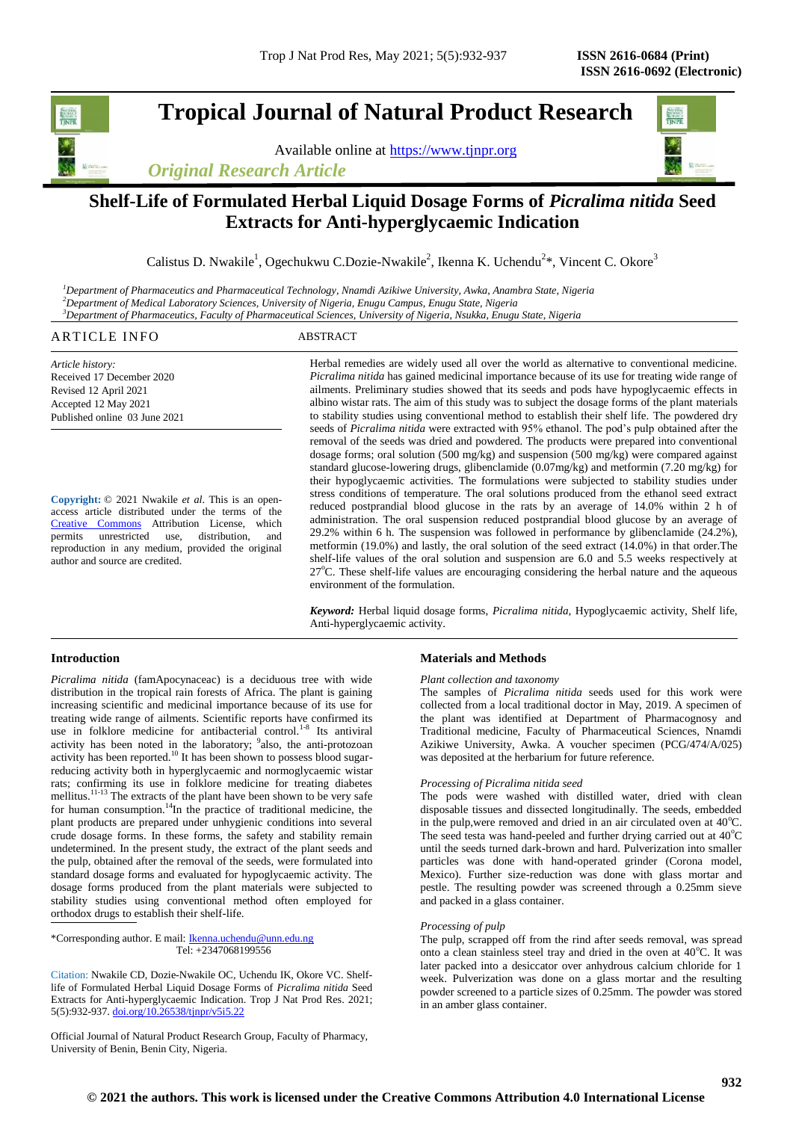# **Tropical Journal of Natural Product Research**

Available online at [https://www.tjnpr.org](https://www.tjnpr.org/)





## **Shelf-Life of Formulated Herbal Liquid Dosage Forms of** *Picralima nitida* **Seed Extracts for Anti-hyperglycaemic Indication**

Calistus D. Nwakile<sup>1</sup>, Ogechukwu C.Dozie-Nwakile<sup>2</sup>, Ikenna K. Uchendu<sup>2\*</sup>, Vincent C. Okore<sup>3</sup>

*<sup>1</sup>Department of Pharmaceutics and Pharmaceutical Technology, Nnamdi Azikiwe University, Awka, Anambra State, Nigeria <sup>2</sup>Department of Medical Laboratory Sciences, University of Nigeria, Enugu Campus, Enugu State, Nigeria <sup>3</sup>Department of Pharmaceutics, Faculty of Pharmaceutical Sciences, University of Nigeria, Nsukka, Enugu State, Nigeria*

### ARTICLE INFO ABSTRACT

*Article history:* Received 17 December 2020 Revised 12 April 2021 Accepted 12 May 2021 Published online 03 June 2021

**Copyright:** © 2021 Nwakile *et al*. This is an openaccess article distributed under the terms of the [Creative Commons](https://creativecommons.org/licenses/by/4.0/) Attribution License, which permits unrestricted use, distribution, and reproduction in any medium, provided the original author and source are credited.

Herbal remedies are widely used all over the world as alternative to conventional medicine. *Picralima nitida* has gained medicinal importance because of its use for treating wide range of ailments. Preliminary studies showed that its seeds and pods have hypoglycaemic effects in albino wistar rats. The aim of this study was to subject the dosage forms of the plant materials to stability studies using conventional method to establish their shelf life. The powdered dry seeds of *Picralima nitida* were extracted with 95% ethanol. The pod's pulp obtained after the removal of the seeds was dried and powdered. The products were prepared into conventional dosage forms; oral solution (500 mg/kg) and suspension (500 mg/kg) were compared against standard glucose-lowering drugs, glibenclamide (0.07mg/kg) and metformin (7.20 mg/kg) for their hypoglycaemic activities. The formulations were subjected to stability studies under stress conditions of temperature. The oral solutions produced from the ethanol seed extract reduced postprandial blood glucose in the rats by an average of 14.0% within 2 h of administration. The oral suspension reduced postprandial blood glucose by an average of 29.2% within 6 h. The suspension was followed in performance by glibenclamide (24.2%), metformin (19.0%) and lastly, the oral solution of the seed extract (14.0%) in that order.The shelf-life values of the oral solution and suspension are 6.0 and 5.5 weeks respectively at 27<sup>o</sup>C. These shelf-life values are encouraging considering the herbal nature and the aqueous environment of the formulation.

*Keyword:* Herbal liquid dosage forms, *Picralima nitida,* Hypoglycaemic activity, Shelf life, Anti-hyperglycaemic activity.

### **Introduction**

*Picralima nitida* (famApocynaceac) is a deciduous tree with wide distribution in the tropical rain forests of Africa. The plant is gaining increasing scientific and medicinal importance because of its use for treating wide range of ailments. Scientific reports have confirmed its use in folklore medicine for antibacterial control.<sup>1-8</sup> Its antiviral activity has been noted in the laboratory; <sup>9</sup>also, the anti-protozoan activity has been reported.<sup>10</sup> It has been shown to possess blood sugarreducing activity both in hyperglycaemic and normoglycaemic wistar rats; confirming its use in folklore medicine for treating diabetes mellitus.<sup>11-13</sup> The extracts of the plant have been shown to be very safe for human consumption.<sup>14</sup>In the practice of traditional medicine, the plant products are prepared under unhygienic conditions into several crude dosage forms. In these forms, the safety and stability remain undetermined. In the present study, the extract of the plant seeds and the pulp, obtained after the removal of the seeds, were formulated into standard dosage forms and evaluated for hypoglycaemic activity. The dosage forms produced from the plant materials were subjected to stability studies using conventional method often employed for orthodox drugs to establish their shelf-life.

\*Corresponding author. E mail[: Ikenna.uchendu@unn.edu.ng](mailto:Ikenna.uchendu@unn.edu.ng) Tel: +2347068199556

Citation: Nwakile CD, Dozie-Nwakile OC, Uchendu IK, Okore VC. Shelflife of Formulated Herbal Liquid Dosage Forms of *Picralima nitida* Seed Extracts for Anti-hyperglycaemic Indication. Trop J Nat Prod Res. 2021; 5(5):932-937. [doi.org/10.26538/tjnpr/v5i5.2](http://www.doi.org/10.26538/tjnpr/v1i4.5)2

Official Journal of Natural Product Research Group, Faculty of Pharmacy, University of Benin, Benin City, Nigeria.

#### **Materials and Methods**

#### *Plant collection and taxonomy*

The samples of *Picralima nitida* seeds used for this work were collected from a local traditional doctor in May, 2019. A specimen of the plant was identified at Department of Pharmacognosy and Traditional medicine, Faculty of Pharmaceutical Sciences, Nnamdi Azikiwe University, Awka. A voucher specimen (PCG/474/A/025) was deposited at the herbarium for future reference.

#### *Processing of Picralima nitida seed*

The pods were washed with distilled water, dried with clean disposable tissues and dissected longitudinally. The seeds, embedded in the pulp, were removed and dried in an air circulated oven at  $40^{\circ}$ C. The seed testa was hand-peeled and further drying carried out at  $40^{\circ}$ C until the seeds turned dark-brown and hard. Pulverization into smaller particles was done with hand-operated grinder (Corona model, Mexico). Further size-reduction was done with glass mortar and pestle. The resulting powder was screened through a 0.25mm sieve and packed in a glass container.

#### *Processing of pulp*

The pulp, scrapped off from the rind after seeds removal, was spread onto a clean stainless steel tray and dried in the oven at 40°C. It was later packed into a desiccator over anhydrous calcium chloride for 1 week. Pulverization was done on a glass mortar and the resulting powder screened to a particle sizes of 0.25mm. The powder was stored in an amber glass container.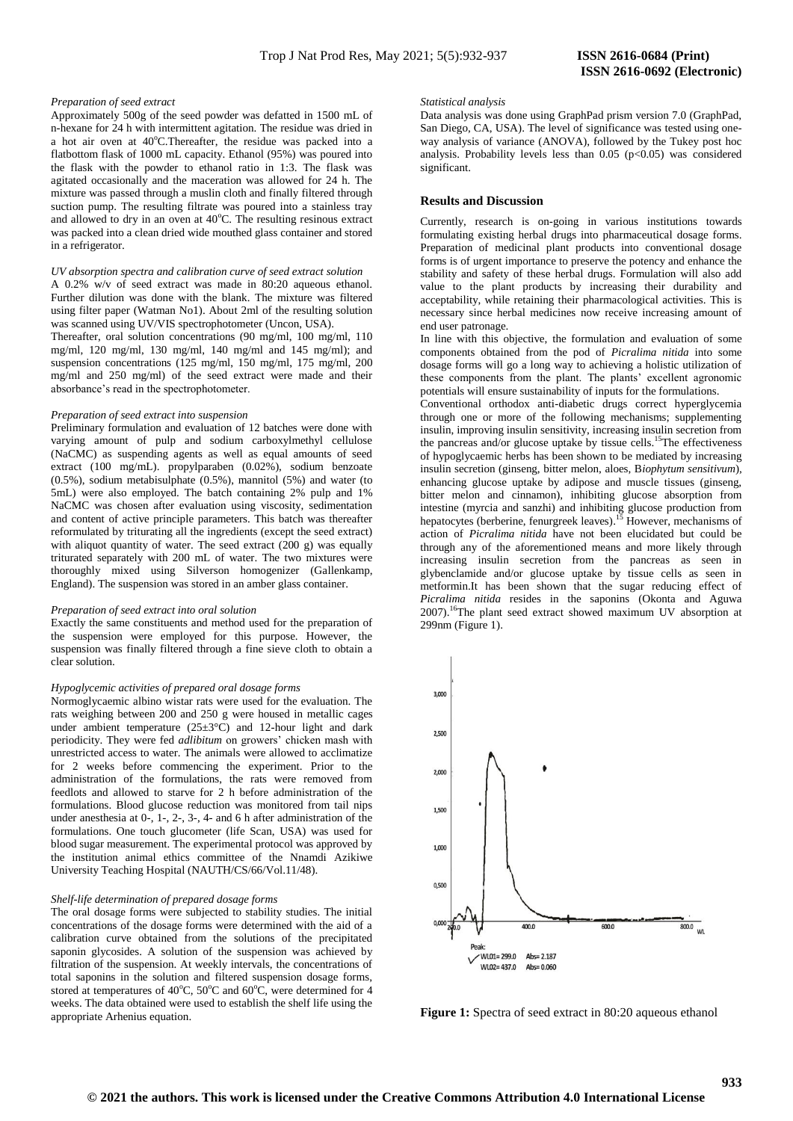#### *Preparation of seed extract*

Approximately 500g of the seed powder was defatted in 1500 mL of n-hexane for 24 h with intermittent agitation. The residue was dried in a hot air oven at  $40^{\circ}$ C. Thereafter, the residue was packed into a flatbottom flask of 1000 mL capacity. Ethanol (95%) was poured into the flask with the powder to ethanol ratio in 1:3. The flask was agitated occasionally and the maceration was allowed for 24 h. The mixture was passed through a muslin cloth and finally filtered through suction pump. The resulting filtrate was poured into a stainless tray and allowed to dry in an oven at  $40^{\circ}$ C. The resulting resinous extract was packed into a clean dried wide mouthed glass container and stored in a refrigerator.

#### *UV absorption spectra and calibration curve of seed extract solution*

A 0.2% w/v of seed extract was made in 80:20 aqueous ethanol. Further dilution was done with the blank. The mixture was filtered using filter paper (Watman No1). About 2ml of the resulting solution was scanned using UV/VIS spectrophotometer (Uncon, USA).

Thereafter, oral solution concentrations (90 mg/ml, 100 mg/ml, 110 mg/ml, 120 mg/ml, 130 mg/ml, 140 mg/ml and 145 mg/ml); and suspension concentrations (125 mg/ml, 150 mg/ml, 175 mg/ml, 200 mg/ml and 250 mg/ml) of the seed extract were made and their absorbance's read in the spectrophotometer.

#### *Preparation of seed extract into suspension*

Preliminary formulation and evaluation of 12 batches were done with varying amount of pulp and sodium carboxylmethyl cellulose (NaCMC) as suspending agents as well as equal amounts of seed extract (100 mg/mL). propylparaben (0.02%), sodium benzoate (0.5%), sodium metabisulphate (0.5%), mannitol (5%) and water (to 5mL) were also employed. The batch containing 2% pulp and 1% NaCMC was chosen after evaluation using viscosity, sedimentation and content of active principle parameters. This batch was thereafter reformulated by triturating all the ingredients (except the seed extract) with aliquot quantity of water. The seed extract (200 g) was equally triturated separately with 200 mL of water. The two mixtures were thoroughly mixed using Silverson homogenizer (Gallenkamp, England). The suspension was stored in an amber glass container.

#### *Preparation of seed extract into oral solution*

Exactly the same constituents and method used for the preparation of the suspension were employed for this purpose. However, the suspension was finally filtered through a fine sieve cloth to obtain a clear solution.

#### *Hypoglycemic activities of prepared oral dosage forms*

Normoglycaemic albino wistar rats were used for the evaluation. The rats weighing between 200 and 250 g were housed in metallic cages under ambient temperature  $(25\pm3^{\circ}\text{C})$  and 12-hour light and dark periodicity. They were fed *adlibitum* on growers' chicken mash with unrestricted access to water. The animals were allowed to acclimatize for 2 weeks before commencing the experiment. Prior to the administration of the formulations, the rats were removed from feedlots and allowed to starve for 2 h before administration of the formulations. Blood glucose reduction was monitored from tail nips under anesthesia at 0-, 1-, 2-, 3-, 4- and 6 h after administration of the formulations. One touch glucometer (life Scan, USA) was used for blood sugar measurement. The experimental protocol was approved by the institution animal ethics committee of the Nnamdi Azikiwe University Teaching Hospital (NAUTH/CS/66/Vol.11/48).

#### *Shelf-life determination of prepared dosage forms*

The oral dosage forms were subjected to stability studies. The initial concentrations of the dosage forms were determined with the aid of a calibration curve obtained from the solutions of the precipitated saponin glycosides. A solution of the suspension was achieved by filtration of the suspension. At weekly intervals, the concentrations of total saponins in the solution and filtered suspension dosage forms, stored at temperatures of 40 $^{\circ}$ C, 50 $^{\circ}$ C and 60 $^{\circ}$ C, were determined for 4 weeks. The data obtained were used to establish the shelf life using the appropriate Arhenius equation.

#### *Statistical analysis*

Data analysis was done using GraphPad prism version 7.0 (GraphPad, San Diego, CA, USA). The level of significance was tested using oneway analysis of variance (ANOVA), followed by the Tukey post hoc analysis. Probability levels less than  $0.05$  ( $p<0.05$ ) was considered significant.

#### **Results and Discussion**

Currently, research is on-going in various institutions towards formulating existing herbal drugs into pharmaceutical dosage forms. Preparation of medicinal plant products into conventional dosage forms is of urgent importance to preserve the potency and enhance the stability and safety of these herbal drugs. Formulation will also add value to the plant products by increasing their durability and acceptability, while retaining their pharmacological activities. This is necessary since herbal medicines now receive increasing amount of end user patronage.

In line with this objective, the formulation and evaluation of some components obtained from the pod of *Picralima nitida* into some dosage forms will go a long way to achieving a holistic utilization of these components from the plant. The plants' excellent agronomic potentials will ensure sustainability of inputs for the formulations.

Conventional orthodox anti-diabetic drugs correct hyperglycemia through one or more of the following mechanisms; supplementing insulin, improving insulin sensitivity, increasing insulin secretion from the pancreas and/or glucose uptake by tissue cells.<sup>15</sup>The effectiveness of hypoglycaemic herbs has been shown to be mediated by increasing insulin secretion (ginseng, bitter melon, aloes, B*iophytum sensitivum*), enhancing glucose uptake by adipose and muscle tissues (ginseng, bitter melon and cinnamon), inhibiting glucose absorption from intestine (myrcia and sanzhi) and inhibiting glucose production from hepatocytes (berberine, fenurgreek leaves).<sup>15</sup> However, mechanisms of action of *Picralima nitida* have not been elucidated but could be through any of the aforementioned means and more likely through increasing insulin secretion from the pancreas as seen in glybenclamide and/or glucose uptake by tissue cells as seen in metformin.It has been shown that the sugar reducing effect of *Picralima nitida* resides in the saponins (Okonta and Aguwa 2007).<sup>16</sup>The plant seed extract showed maximum UV absorption at 299nm (Figure 1).



**Figure 1:** Spectra of seed extract in 80:20 aqueous ethanol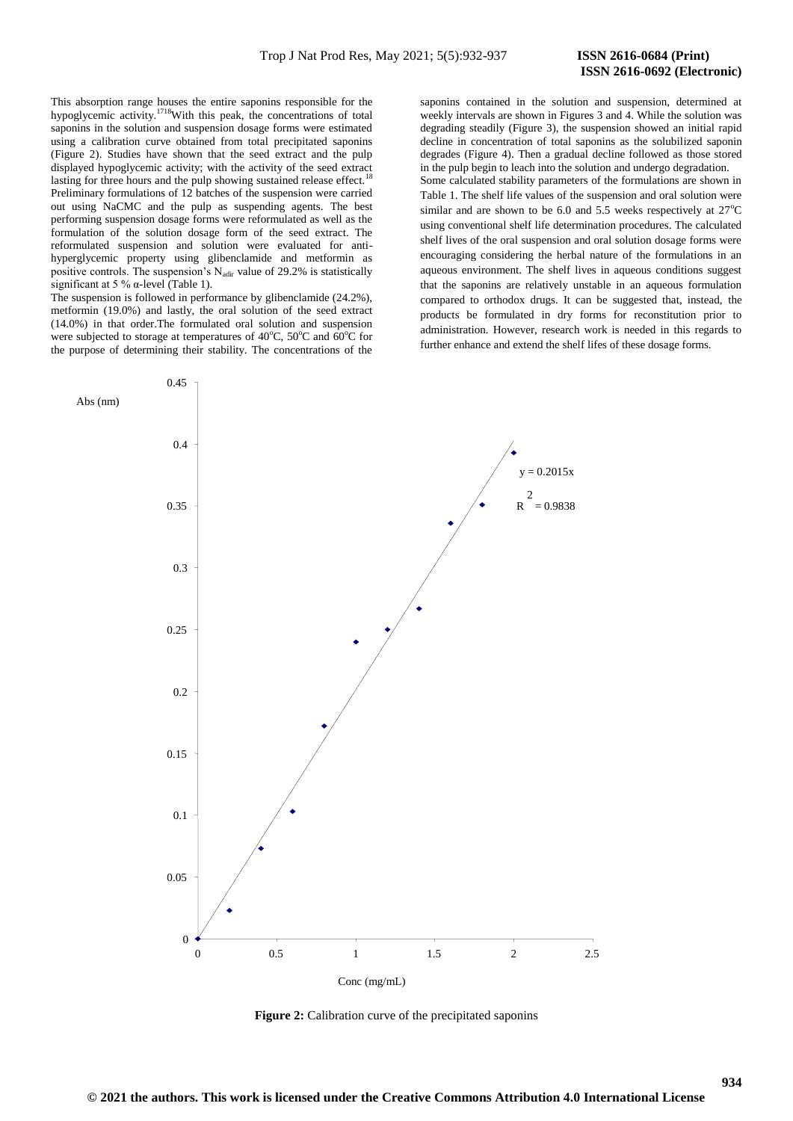This absorption range houses the entire saponins responsible for the hypoglycemic activity.<sup>1718</sup>With this peak, the concentrations of total saponins in the solution and suspension dosage forms were estimated using a calibration curve obtained from total precipitated saponins (Figure 2). Studies have shown that the seed extract and the pulp displayed hypoglycemic activity; with the activity of the seed extract lasting for three hours and the pulp showing sustained release effect.<sup>1</sup> Preliminary formulations of 12 batches of the suspension were carried out using NaCMC and the pulp as suspending agents. The best performing suspension dosage forms were reformulated as well as the formulation of the solution dosage form of the seed extract. The reformulated suspension and solution were evaluated for antihyperglycemic property using glibenclamide and metformin as positive controls. The suspension's  $N_{\text{adir}}$  value of 29.2% is statistically significant at 5 %  $\alpha$ -level (Table 1).

The suspension is followed in performance by glibenclamide (24.2%), metformin (19.0%) and lastly, the oral solution of the seed extract (14.0%) in that order.The formulated oral solution and suspension were subjected to storage at temperatures of  $40^{\circ}$ C,  $50^{\circ}$ C and  $60^{\circ}$ C for the purpose of determining their stability. The concentrations of the

saponins contained in the solution and suspension, determined at weekly intervals are shown in Figures 3 and 4. While the solution was degrading steadily (Figure 3), the suspension showed an initial rapid decline in concentration of total saponins as the solubilized saponin degrades (Figure 4). Then a gradual decline followed as those stored in the pulp begin to leach into the solution and undergo degradation. Some calculated stability parameters of the formulations are shown in Table 1. The shelf life values of the suspension and oral solution were similar and are shown to be 6.0 and 5.5 weeks respectively at  $27^{\circ}$ C using conventional shelf life determination procedures. The calculated shelf lives of the oral suspension and oral solution dosage forms were encouraging considering the herbal nature of the formulations in an aqueous environment. The shelf lives in aqueous conditions suggest that the saponins are relatively unstable in an aqueous formulation compared to orthodox drugs. It can be suggested that, instead, the products be formulated in dry forms for reconstitution prior to administration. However, research work is needed in this regards to further enhance and extend the shelf lifes of these dosage forms.



**Figure 2:** Calibration curve of the precipitated saponins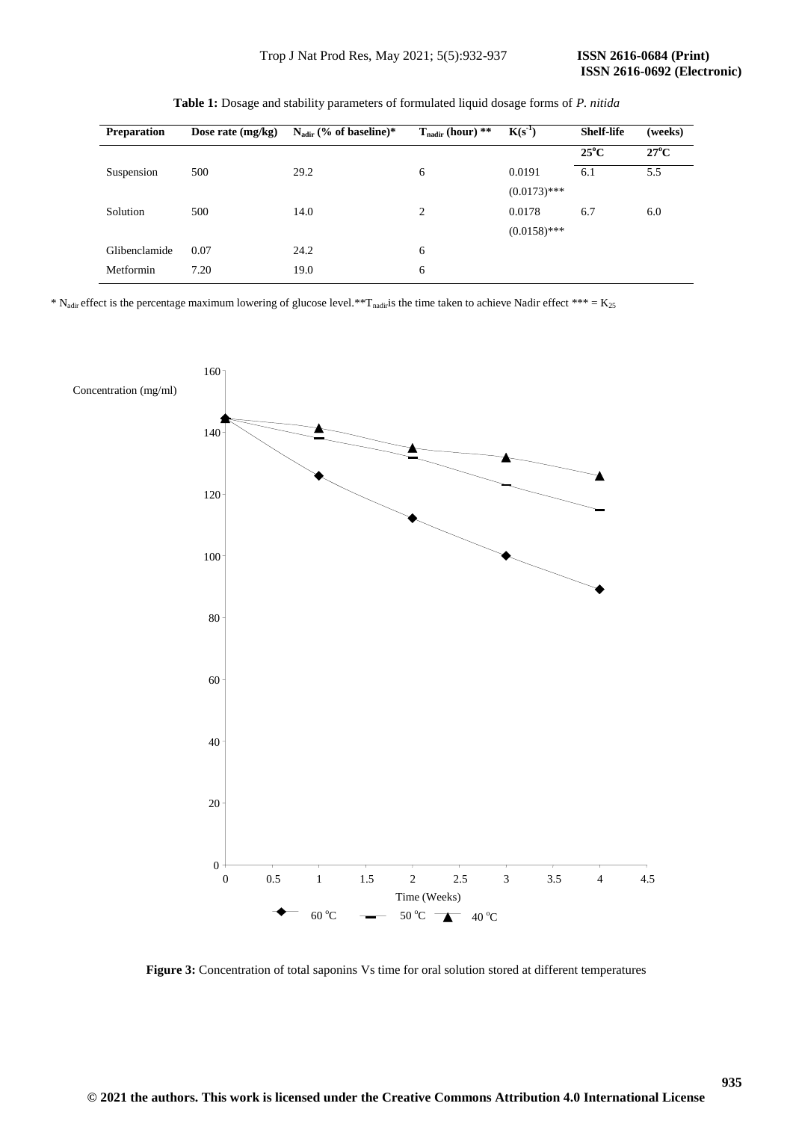| <b>Preparation</b> | Dose rate $(mg/kg)$ | $N_{\text{adir}}$ (% of baseline)* | $T_{\text{nadir}}$ (hour) ** | $K(s^{-1})$    | <b>Shelf-life</b> | (weeks)        |
|--------------------|---------------------|------------------------------------|------------------------------|----------------|-------------------|----------------|
|                    |                     |                                    |                              |                | $25^{\circ}$ C    | $27^{\circ}$ C |
| Suspension         | 500                 | 29.2                               | 6                            | 0.0191         | 6.1               | 5.5            |
|                    |                     |                                    |                              | $(0.0173)$ *** |                   |                |
| Solution           | 500                 | 14.0                               | 2                            | 0.0178         | 6.7               | 6.0            |
|                    |                     |                                    |                              | $(0.0158)$ *** |                   |                |
| Glibenclamide      | 0.07                | 24.2                               | 6                            |                |                   |                |
| Metformin          | 7.20                | 19.0                               | 6                            |                |                   |                |
|                    |                     |                                    |                              |                |                   |                |

**Table 1:** Dosage and stability parameters of formulated liquid dosage forms of *P. nitida*

\* N<sub>adir</sub> effect is the percentage maximum lowering of glucose level.\*\*T<sub>nadir</sub>is the time taken to achieve Nadir effect \*\*\* = K<sub>25</sub>



**Figure 3:** Concentration of total saponins Vs time for oral solution stored at different temperatures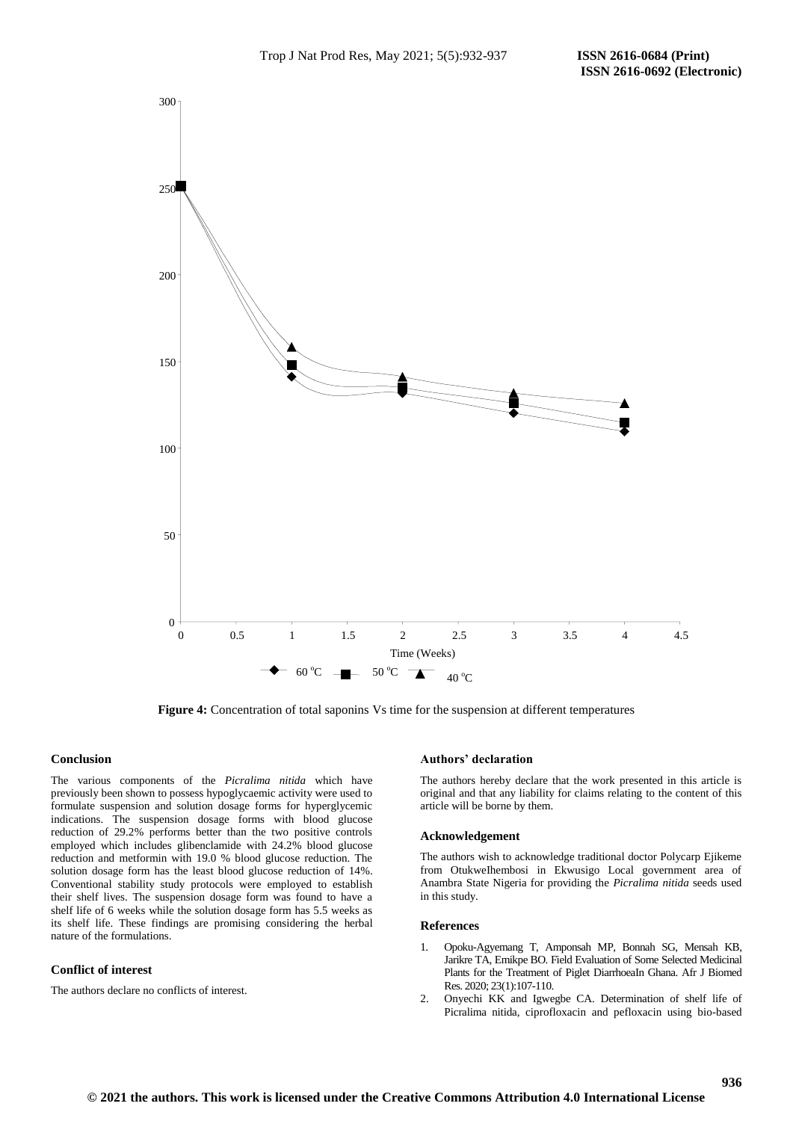

**Figure 4:** Concentration of total saponins Vs time for the suspension at different temperatures

#### **Conclusion**

The various components of the *Picralima nitida* which have previously been shown to possess hypoglycaemic activity were used to formulate suspension and solution dosage forms for hyperglycemic indications. The suspension dosage forms with blood glucose reduction of 29.2% performs better than the two positive controls employed which includes glibenclamide with 24.2% blood glucose reduction and metformin with 19.0 % blood glucose reduction. The solution dosage form has the least blood glucose reduction of 14%. Conventional stability study protocols were employed to establish their shelf lives. The suspension dosage form was found to have a shelf life of 6 weeks while the solution dosage form has 5.5 weeks as its shelf life. These findings are promising considering the herbal nature of the formulations.

#### **Conflict of interest**

The authors declare no conflicts of interest.

#### **Authors' declaration**

The authors hereby declare that the work presented in this article is original and that any liability for claims relating to the content of this article will be borne by them.

#### **Acknowledgement**

The authors wish to acknowledge traditional doctor Polycarp Ejikeme from OtukweIhembosi in Ekwusigo Local government area of Anambra State Nigeria for providing the *Picralima nitida* seeds used in this study.

#### **References**

- 1. Opoku-Agyemang T, Amponsah MP, Bonnah SG, Mensah KB, Jarikre TA, Emikpe BO. Field Evaluation of Some Selected Medicinal Plants for the Treatment of Piglet DiarrhoeaIn Ghana. Afr J Biomed Res. 2020; 23(1):107-110.
- 2. Onyechi KK and Igwegbe CA. Determination of shelf life of Picralima nitida, ciprofloxacin and pefloxacin using bio-based